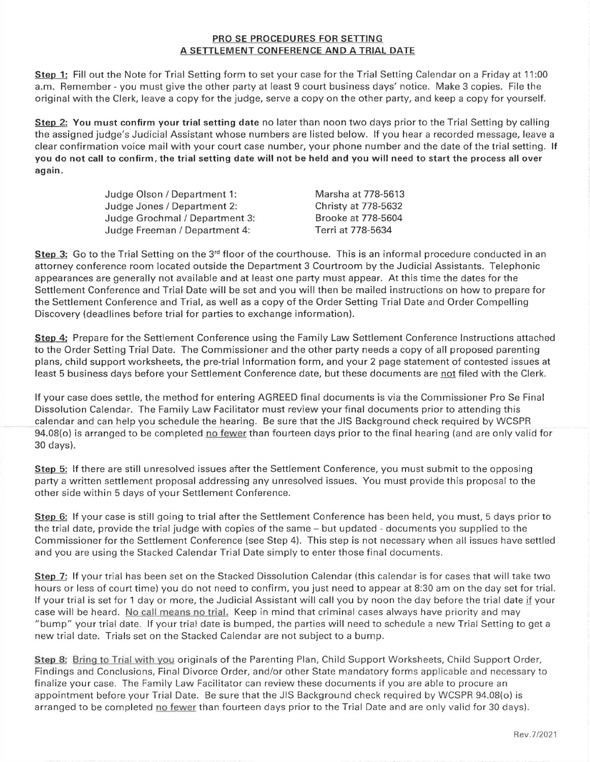## PRO SE PROCEDURES FOR SETTING A SETTLEMENT CONFERENCE AND A TRIAL DATE

Step 1: Fill out the Note for Trial Setting form to set your case for the Trial Setting Calendar on a Friday at 11:00 a.m. Remember - you must give the other party at least 9 court business days' notice. Make 3 copies. File the original with the Clerk, leave a copy for the judge, serve a copy on the other party, and keep a copy for yourself.

Step 2: You must confirm your trial setting date no later than noon two days prior to the Trial Setting by calling the assigned judge's Judicial Assistant whose numbers are listed below. If you hear a recorded message, leave a clear confirmation voice mail with your court case number, your phone number and the date of the trial setting. If you do not call to confirm, the trial setting date will not be held and you will need to start the process all over again.

| Judge Olson / Department 1:    | Marsha at 778-5613  |
|--------------------------------|---------------------|
| Judge Jones / Department 2:    | Christy at 778-5632 |
| Judge Grochmal / Department 3: | Brooke at 778-5604  |
| Judge Freeman / Department 4:  | Terri at 778-5634   |

**Step 3:** Go to the Trial Setting on the  $3<sup>rd</sup>$  floor of the courthouse. This is an informal procedure conducted in an attorney conference room located outside the Department 3 Courtroom by the Judicial Assistants. Telephonic appearances are generally not available and at least one party must appear. At this time the dates for the Settlement Conference and Trial Date will be set and you will then be mailed instructions on how to prepare for the Settlement Conference and Trial, as well as a copy of the Order Setting Trial Date and Order Compelling Discovery (deadlines before trial for parties to exchange information).

Step 4: Prepare for the Settlement Conference using the Family Law Settlement Conference Instructions attached to the Order Setting Trial Date. The Commissioner and the other party needs a copy of all proposed parenting plans, child support worksheets, the pre-trial Information form, and your 2 page statement of contested issues at least 5 business days before your Settlement Conference date, but these documents are not filed with the Clerk.

If your case does settle, the method for entering AGREED final documents is via the Commissioner Pro Se Final Dissolution Calendar. The Family Law Facilitator must review your final documents prior to attending this calendar and can help you schedule the hearing. Be sure that the JIS Background check required by WCSPR 94.08(o) is arranged to be completed no fewer than fourteen days prior to the final hearing (and are only valid for 30 days).

Step 5: If there are still unresolved issues after the Settlement Conference, you must submit to the opposing party a written settlement proposal addressing any unresolved issues. You must provide this proposal to the other side within 5 days of your Settlement Conference.

Step 6: If your case is still going to trial after the Settlement Conference has been held, you must, 5 days prior to the trial date, provide the trial judge with copies of the same - but updated - documents you supplied to the Commissioner for the Settlement Conference (see Step 4). This step is not necessary when all issues have settled and you are using the Stacked Calendar Trial Date simply to enter those final documents.

Step 7: If your trial has been set on the Stacked Dissolution Calendar (this calendar is for cases that will take two hours or less of court time) you do not need to confirm, you just need to appear at 8:30 am on the day set for trial. If your trial is set for 1 day or more, the Judicial Assistant will call you by noon the day before the trial date if your case will be heard. No call means no trial. Keep in mind that criminal cases always have priority and may "bump" your trial date. If your trial date is bumped, the parties will need to schedule a new Trial Setting to get a new trial date. Trials set on the Stacked Calendar are not subject to a bump.

Step 8: Bring to Trial with you originals of the Parenting Plan, Child Support Worksheets, Child Support Order, Findings and Conclusions, Final Divorce Order, and/or other State mandatory forms applicable and necessary to finalize your case. The Family Law Facilitator can review these documents if you are able to procure an appointment before your Trial Date. Be sure that the JIS Background check required by WCSPR 94.0S(o) is arranged to be completed no fewer than fourteen days prior to the Trial Date and are only valid for 30 days).